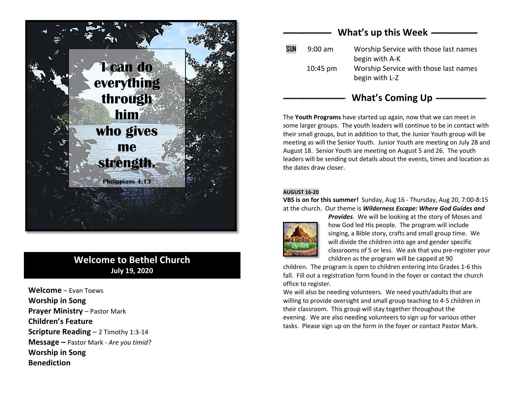

# **Welcome to Bethel Church July 19, 2020**

**Welcome** – Evan Toews **Worship in Song Prayer Ministry - Pastor Mark Children's Feature Scripture Reading** – 2 Timothy 1:3-14 **Message –** Pastor Mark *- Are you timid?* **Worship in Song Benediction**

# *------------------------* **What's up this Week** *-----------------------*  **SUN** 9:00 am Worship Service with those last names begin with A-K 10:45 pm Worship Service with those last names begin with L-Z

## *-------------------------------* **What's Coming Up** *-------------------------*

The **Youth Programs** have started up again, now that we can meet in some larger groups. The youth leaders will continue to be in contact with their small groups, but in addition to that, the Junior Youth group will be meeting as will the Senior Youth. Junior Youth are meeting on July 28 and August 18. Senior Youth are meeting on August 5 and 26. The youth leaders will be sending out details about the events, times and location as the dates draw closer.

#### **AUGUST 16-20**

**VBS is on for this summer!** Sunday, Aug 16 - Thursday, Aug 20, 7:00-8:15 at the church. Our theme is *Wilderness Escape: Where God Guides and* 



*Provides*. We will be looking at the story of Moses and how God led His people. The program will include singing, a Bible story, crafts and small group time. We will divide the children into age and gender specific classrooms of 5 or less. We ask that you pre-register your children as the program will be capped at 90

children. The program is open to children entering into Grades 1-6 this fall. Fill out a registration form found in the foyer or contact the church office to register.

We will also be needing volunteers. We need youth/adults that are willing to provide oversight and small group teaching to 4-5 children in their classroom. This group will stay together throughout the evening. We are also needing volunteers to sign up for various other tasks. Please sign up on the form in the foyer or contact Pastor Mark.